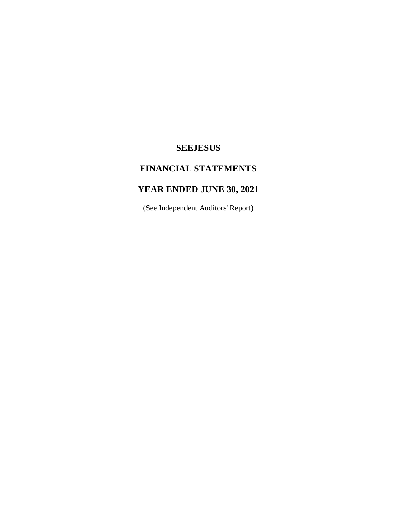# **SEEJESUS**

# **FINANCIAL STATEMENTS**

# **YEAR ENDED JUNE 30, 2021**

(See Independent Auditors' Report)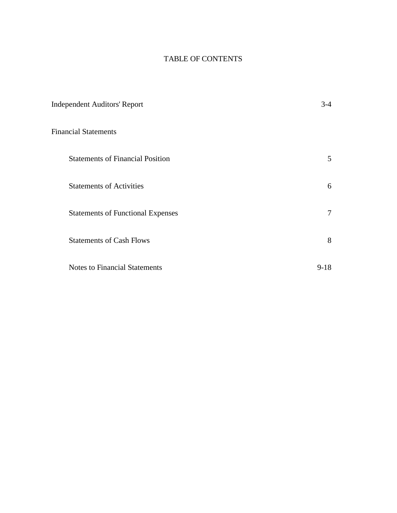# TABLE OF CONTENTS

| <b>Independent Auditors' Report</b>      | $3-4$  |
|------------------------------------------|--------|
| <b>Financial Statements</b>              |        |
| <b>Statements of Financial Position</b>  | 5      |
| <b>Statements of Activities</b>          | 6      |
| <b>Statements of Functional Expenses</b> | 7      |
| <b>Statements of Cash Flows</b>          | 8      |
| <b>Notes to Financial Statements</b>     | $9-18$ |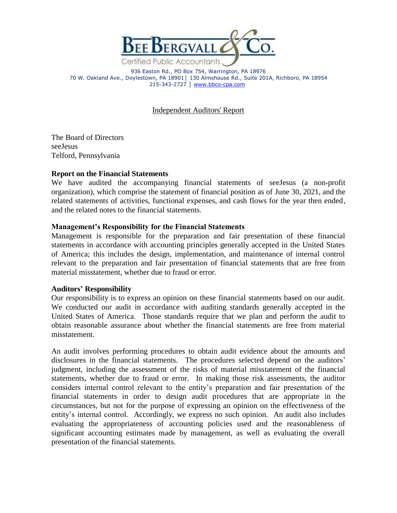

936 Easton Rd., PO Box 754, Warrington, PA 18976 70 W. Oakland Ave., Doylestown, PA 18901│ 130 Almshouse Rd., Suite 201A, Richboro, PA 18954 215-343-2727 | www.bbco-cpa.com

### Independent Auditors' Report

The Board of Directors seeJesus Telford, Pennsylvania

### **Report on the Financial Statements**

We have audited the accompanying financial statements of seeJesus (a non-profit organization), which comprise the statement of financial position as of June 30, 2021, and the related statements of activities, functional expenses, and cash flows for the year then ended, and the related notes to the financial statements.

### **Management's Responsibility for the Financial Statements**

Management is responsible for the preparation and fair presentation of these financial statements in accordance with accounting principles generally accepted in the United States of America; this includes the design, implementation, and maintenance of internal control relevant to the preparation and fair presentation of financial statements that are free from material misstatement, whether due to fraud or error.

### **Auditors' Responsibility**

Our responsibility is to express an opinion on these financial statements based on our audit. We conducted our audit in accordance with auditing standards generally accepted in the United States of America. Those standards require that we plan and perform the audit to obtain reasonable assurance about whether the financial statements are free from material misstatement.

An audit involves performing procedures to obtain audit evidence about the amounts and disclosures in the financial statements. The procedures selected depend on the auditors' judgment, including the assessment of the risks of material misstatement of the financial statements, whether due to fraud or error. In making those risk assessments, the auditor considers internal control relevant to the entity's preparation and fair presentation of the financial statements in order to design audit procedures that are appropriate in the circumstances, but not for the purpose of expressing an opinion on the effectiveness of the entity's internal control. Accordingly, we express no such opinion. An audit also includes evaluating the appropriateness of accounting policies used and the reasonableness of significant accounting estimates made by management, as well as evaluating the overall presentation of the financial statements.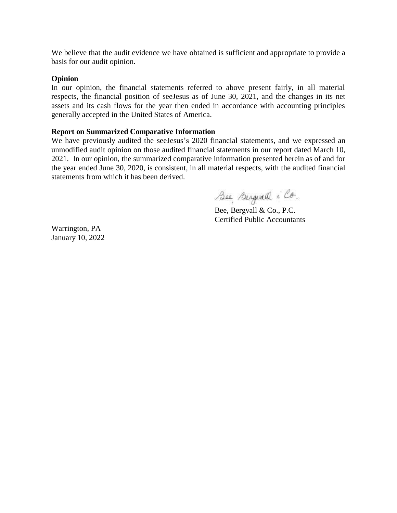We believe that the audit evidence we have obtained is sufficient and appropriate to provide a basis for our audit opinion.

#### **Opinion**

In our opinion, the financial statements referred to above present fairly, in all material respects, the financial position of seeJesus as of June 30, 2021, and the changes in its net assets and its cash flows for the year then ended in accordance with accounting principles generally accepted in the United States of America.

#### **Report on Summarized Comparative Information**

We have previously audited the seeJesus's 2020 financial statements, and we expressed an unmodified audit opinion on those audited financial statements in our report dated March 10, 2021. In our opinion, the summarized comparative information presented herein as of and for the year ended June 30, 2020, is consistent, in all material respects, with the audited financial statements from which it has been derived.

Bee Bergerald & Co.

Bee, Bergvall & Co., P.C. Certified Public Accountants

Warrington, PA January 10, 2022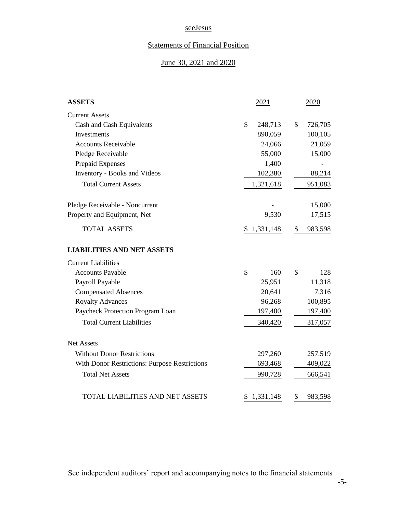# Statements of Financial Position

# June 30, 2021 and 2020

| <b>ASSETS</b>                                 | 2021            | 2020          |
|-----------------------------------------------|-----------------|---------------|
| <b>Current Assets</b>                         |                 |               |
| Cash and Cash Equivalents                     | \$<br>248,713   | \$<br>726,705 |
| Investments                                   | 890,059         | 100,105       |
| <b>Accounts Receivable</b>                    | 24,066          | 21,059        |
| Pledge Receivable                             | 55,000          | 15,000        |
| Prepaid Expenses                              | 1,400           |               |
| <b>Inventory - Books and Videos</b>           | 102,380         | 88,214        |
| <b>Total Current Assets</b>                   | 1,321,618       | 951,083       |
| Pledge Receivable - Noncurrent                |                 | 15,000        |
| Property and Equipment, Net                   | 9,530           | 17,515        |
| <b>TOTAL ASSETS</b>                           | \$1,331,148     | \$<br>983,598 |
| <b>LIABILITIES AND NET ASSETS</b>             |                 |               |
| <b>Current Liabilities</b>                    |                 |               |
| <b>Accounts Payable</b>                       | \$<br>160       | \$<br>128     |
| Payroll Payable                               | 25,951          | 11,318        |
| <b>Compensated Absences</b>                   | 20,641          | 7,316         |
| <b>Royalty Advances</b>                       | 96,268          | 100,895       |
| Paycheck Protection Program Loan              | 197,400         | 197,400       |
| <b>Total Current Liabilities</b>              | 340,420         | 317,057       |
| <b>Net Assets</b>                             |                 |               |
| <b>Without Donor Restrictions</b>             | 297,260         | 257,519       |
| With Donor Restrictions: Purpose Restrictions | 693,468         | 409,022       |
| <b>Total Net Assets</b>                       | 990,728         | 666,541       |
| TOTAL LIABILITIES AND NET ASSETS              | \$<br>1,331,148 | \$<br>983,598 |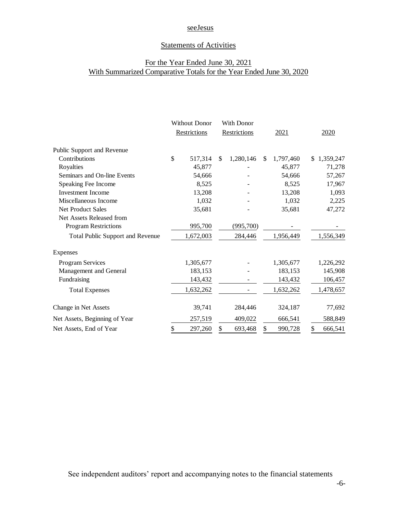# **Statements of Activities**

### For the Year Ended June 30, 2021 With Summarized Comparative Totals for the Year Ended June 30, 2020

|                                         |              | <b>Without Donor</b><br>Restrictions | With Donor<br>Restrictions |           |              |           | 2021          |  | 2020 |
|-----------------------------------------|--------------|--------------------------------------|----------------------------|-----------|--------------|-----------|---------------|--|------|
| Public Support and Revenue              |              |                                      |                            |           |              |           |               |  |      |
| Contributions                           | $\mathbb{S}$ | 517,314                              | \$                         | 1,280,146 | $\mathbb{S}$ | 1,797,460 | \$1,359,247   |  |      |
| Royalties                               |              | 45,877                               |                            |           |              | 45,877    | 71,278        |  |      |
| Seminars and On-line Events             |              | 54,666                               |                            |           |              | 54,666    | 57,267        |  |      |
| Speaking Fee Income                     |              | 8,525                                |                            |           |              | 8,525     | 17,967        |  |      |
| <b>Investment Income</b>                |              | 13,208                               |                            |           |              | 13,208    | 1,093         |  |      |
| Miscellaneous Income                    |              | 1,032                                |                            |           |              | 1,032     | 2,225         |  |      |
| <b>Net Product Sales</b>                |              | 35,681                               |                            |           |              | 35,681    | 47,272        |  |      |
| Net Assets Released from                |              |                                      |                            |           |              |           |               |  |      |
| <b>Program Restrictions</b>             |              | 995,700                              |                            | (995,700) |              |           |               |  |      |
| <b>Total Public Support and Revenue</b> |              | 1,672,003                            |                            | 284,446   |              | 1,956,449 | 1,556,349     |  |      |
| <b>Expenses</b>                         |              |                                      |                            |           |              |           |               |  |      |
| Program Services                        |              | 1,305,677                            |                            |           |              | 1,305,677 | 1,226,292     |  |      |
| Management and General                  |              | 183,153                              |                            |           |              | 183,153   | 145,908       |  |      |
| Fundraising                             |              | 143,432                              |                            |           |              | 143,432   | 106,457       |  |      |
| <b>Total Expenses</b>                   |              | 1,632,262                            |                            |           |              | 1,632,262 | 1,478,657     |  |      |
| Change in Net Assets                    |              | 39,741                               |                            | 284,446   |              | 324,187   | 77,692        |  |      |
| Net Assets, Beginning of Year           |              | 257,519                              |                            | 409,022   |              | 666,541   | 588,849       |  |      |
| Net Assets, End of Year                 | \$           | 297,260                              |                            | 693,468   | \$           | 990,728   | \$<br>666,541 |  |      |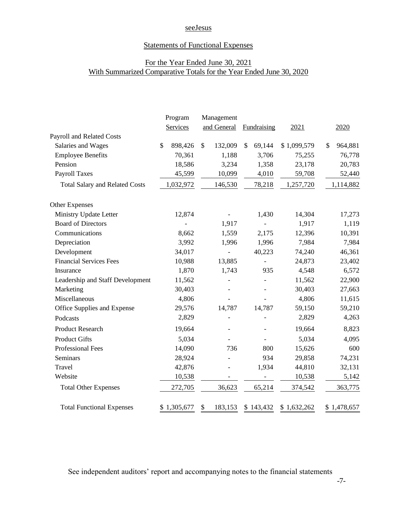# Statements of Functional Expenses

### For the Year Ended June 30, 2021 With Summarized Comparative Totals for the Year Ended June 30, 2020

|                                       | Program       | Management     |                          |             |               |
|---------------------------------------|---------------|----------------|--------------------------|-------------|---------------|
|                                       | Services      | and General    | Fundraising              | 2021        | 2020          |
| Payroll and Related Costs             |               |                |                          |             |               |
| Salaries and Wages                    | \$<br>898,426 | \$<br>132,009  | \$<br>69,144             | \$1,099,579 | 964,881<br>\$ |
| <b>Employee Benefits</b>              | 70,361        | 1,188          | 3,706                    | 75,255      | 76,778        |
| Pension                               | 18,586        | 3,234          | 1,358                    | 23,178      | 20,783        |
| <b>Payroll Taxes</b>                  | 45,599        | 10,099         | 4,010                    | 59,708      | 52,440        |
| <b>Total Salary and Related Costs</b> | 1,032,972     | 146,530        | 78,218                   | 1,257,720   | 1,114,882     |
| <b>Other Expenses</b>                 |               |                |                          |             |               |
| Ministry Update Letter                | 12,874        |                | 1,430                    | 14,304      | 17,273        |
| <b>Board of Directors</b>             |               | 1,917          |                          | 1,917       | 1,119         |
| Communications                        | 8,662         | 1,559          | 2,175                    | 12,396      | 10,391        |
| Depreciation                          | 3,992         | 1,996          | 1,996                    | 7,984       | 7,984         |
| Development                           | 34,017        | $\overline{a}$ | 40,223                   | 74,240      | 46,361        |
| <b>Financial Services Fees</b>        | 10,988        | 13,885         | $\overline{\phantom{0}}$ | 24,873      | 23,402        |
| Insurance                             | 1,870         | 1,743          | 935                      | 4,548       | 6,572         |
| Leadership and Staff Development      | 11,562        |                |                          | 11,562      | 22,900        |
| Marketing                             | 30,403        |                |                          | 30,403      | 27,663        |
| Miscellaneous                         | 4,806         |                |                          | 4,806       | 11,615        |
| Office Supplies and Expense           | 29,576        | 14,787         | 14,787                   | 59,150      | 59,210        |
| Podcasts                              | 2,829         |                |                          | 2,829       | 4,263         |
| <b>Product Research</b>               | 19,664        |                |                          | 19,664      | 8,823         |
| <b>Product Gifts</b>                  | 5,034         |                |                          | 5,034       | 4,095         |
| Professional Fees                     | 14,090        | 736            | 800                      | 15,626      | 600           |
| <b>Seminars</b>                       | 28,924        |                | 934                      | 29,858      | 74,231        |
| Travel                                | 42,876        |                | 1,934                    | 44,810      | 32,131        |
| Website                               | 10,538        | -              | $\overline{\phantom{a}}$ | 10,538      | 5,142         |
| <b>Total Other Expenses</b>           | 272,705       | 36,623         | 65,214                   | 374,542     | 363,775       |
| <b>Total Functional Expenses</b>      | \$1,305,677   | \$<br>183,153  | \$143,432                | \$1,632,262 | \$1,478,657   |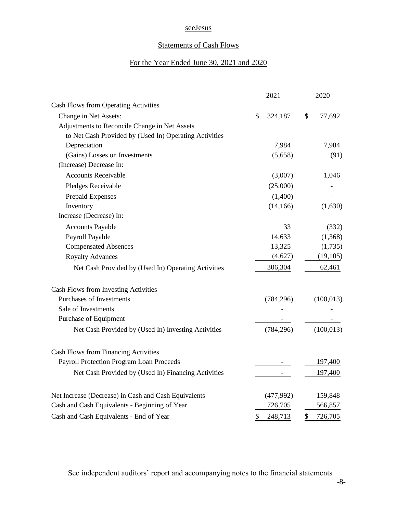### Statements of Cash Flows

# For the Year Ended June 30, 2021 and 2020

|                                                        | 2021          | 2020          |
|--------------------------------------------------------|---------------|---------------|
| <b>Cash Flows from Operating Activities</b>            |               |               |
| Change in Net Assets:                                  | \$<br>324,187 | \$<br>77,692  |
| Adjustments to Reconcile Change in Net Assets          |               |               |
| to Net Cash Provided by (Used In) Operating Activities |               |               |
| Depreciation                                           | 7,984         | 7,984         |
| (Gains) Losses on Investments                          | (5,658)       | (91)          |
| (Increase) Decrease In:                                |               |               |
| <b>Accounts Receivable</b>                             | (3,007)       | 1,046         |
| Pledges Receivable                                     | (25,000)      |               |
| Prepaid Expenses                                       | (1,400)       |               |
| Inventory                                              | (14, 166)     | (1,630)       |
| Increase (Decrease) In:                                |               |               |
| <b>Accounts Payable</b>                                | 33            | (332)         |
| Payroll Payable                                        | 14,633        | (1, 368)      |
| <b>Compensated Absences</b>                            | 13,325        | (1,735)       |
| <b>Royalty Advances</b>                                | (4,627)       | (19, 105)     |
| Net Cash Provided by (Used In) Operating Activities    | 306,304       | 62,461        |
| Cash Flows from Investing Activities                   |               |               |
| <b>Purchases of Investments</b>                        | (784, 296)    | (100, 013)    |
| Sale of Investments                                    |               |               |
| Purchase of Equipment                                  |               |               |
| Net Cash Provided by (Used In) Investing Activities    | (784, 296)    | (100, 013)    |
| <b>Cash Flows from Financing Activities</b>            |               |               |
| Payroll Protection Program Loan Proceeds               |               | 197,400       |
| Net Cash Provided by (Used In) Financing Activities    |               | 197,400       |
| Net Increase (Decrease) in Cash and Cash Equivalents   | (477,992)     | 159,848       |
| Cash and Cash Equivalents - Beginning of Year          | 726,705       | 566,857       |
| Cash and Cash Equivalents - End of Year                | \$<br>248,713 | \$<br>726,705 |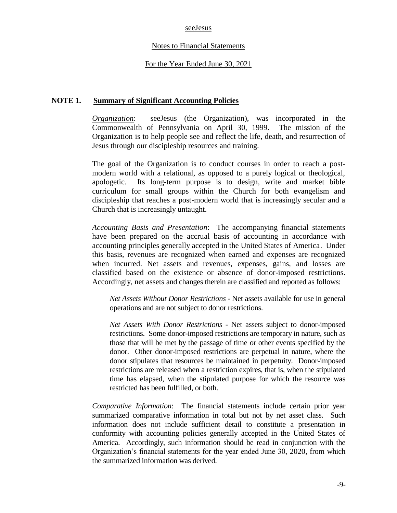#### Notes to Financial Statements

### For the Year Ended June 30, 2021

### **NOTE 1. Summary of Significant Accounting Policies**

*Organization*: seeJesus (the Organization), was incorporated in the Commonwealth of Pennsylvania on April 30, 1999. The mission of the Organization is to help people see and reflect the life, death, and resurrection of Jesus through our discipleship resources and training.

The goal of the Organization is to conduct courses in order to reach a postmodern world with a relational, as opposed to a purely logical or theological, apologetic. Its long-term purpose is to design, write and market bible curriculum for small groups within the Church for both evangelism and discipleship that reaches a post-modern world that is increasingly secular and a Church that is increasingly untaught.

*Accounting Basis and Presentation*: The accompanying financial statements have been prepared on the accrual basis of accounting in accordance with accounting principles generally accepted in the United States of America. Under this basis, revenues are recognized when earned and expenses are recognized when incurred. Net assets and revenues, expenses, gains, and losses are classified based on the existence or absence of donor-imposed restrictions. Accordingly, net assets and changes therein are classified and reported as follows:

*Net Assets Without Donor Restrictions -* Net assets available for use in general operations and are not subject to donor restrictions.

*Net Assets With Donor Restrictions* - Net assets subject to donor-imposed restrictions. Some donor-imposed restrictions are temporary in nature, such as those that will be met by the passage of time or other events specified by the donor. Other donor-imposed restrictions are perpetual in nature, where the donor stipulates that resources be maintained in perpetuity. Donor-imposed restrictions are released when a restriction expires, that is, when the stipulated time has elapsed, when the stipulated purpose for which the resource was restricted has been fulfilled, or both.

*Comparative Information*: The financial statements include certain prior year summarized comparative information in total but not by net asset class. Such information does not include sufficient detail to constitute a presentation in conformity with accounting policies generally accepted in the United States of America. Accordingly, such information should be read in conjunction with the Organization's financial statements for the year ended June 30, 2020, from which the summarized information was derived.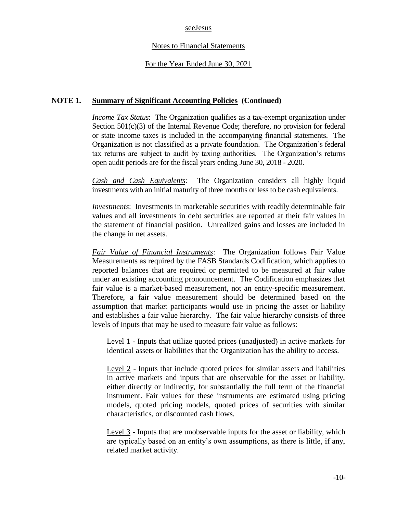#### Notes to Financial Statements

### For the Year Ended June 30, 2021

#### **NOTE 1. Summary of Significant Accounting Policies (Continued)**

*Income Tax Status*: The Organization qualifies as a tax-exempt organization under Section 501(c)(3) of the Internal Revenue Code; therefore, no provision for federal or state income taxes is included in the accompanying financial statements. The Organization is not classified as a private foundation. The Organization's federal tax returns are subject to audit by taxing authorities. The Organization's returns open audit periods are for the fiscal years ending June 30, 2018 - 2020.

*Cash and Cash Equivalents*: The Organization considers all highly liquid investments with an initial maturity of three months or less to be cash equivalents.

*Investments*: Investments in marketable securities with readily determinable fair values and all investments in debt securities are reported at their fair values in the statement of financial position. Unrealized gains and losses are included in the change in net assets.

*Fair Value of Financial Instruments*: The Organization follows Fair Value Measurements as required by the FASB Standards Codification, which applies to reported balances that are required or permitted to be measured at fair value under an existing accounting pronouncement. The Codification emphasizes that fair value is a market-based measurement, not an entity-specific measurement. Therefore, a fair value measurement should be determined based on the assumption that market participants would use in pricing the asset or liability and establishes a fair value hierarchy. The fair value hierarchy consists of three levels of inputs that may be used to measure fair value as follows:

Level 1 - Inputs that utilize quoted prices (unadjusted) in active markets for identical assets or liabilities that the Organization has the ability to access.

Level 2 - Inputs that include quoted prices for similar assets and liabilities in active markets and inputs that are observable for the asset or liability, either directly or indirectly, for substantially the full term of the financial instrument. Fair values for these instruments are estimated using pricing models, quoted pricing models, quoted prices of securities with similar characteristics, or discounted cash flows.

Level 3 - Inputs that are unobservable inputs for the asset or liability, which are typically based on an entity's own assumptions, as there is little, if any, related market activity.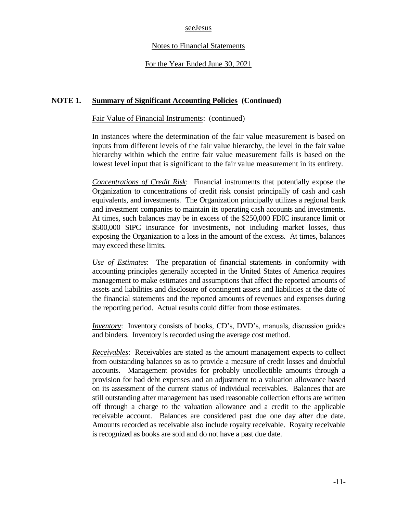#### Notes to Financial Statements

### For the Year Ended June 30, 2021

### **NOTE 1. Summary of Significant Accounting Policies (Continued)**

#### Fair Value of Financial Instruments: (continued)

In instances where the determination of the fair value measurement is based on inputs from different levels of the fair value hierarchy, the level in the fair value hierarchy within which the entire fair value measurement falls is based on the lowest level input that is significant to the fair value measurement in its entirety.

*Concentrations of Credit Risk*: Financial instruments that potentially expose the Organization to concentrations of credit risk consist principally of cash and cash equivalents, and investments. The Organization principally utilizes a regional bank and investment companies to maintain its operating cash accounts and investments. At times, such balances may be in excess of the \$250,000 FDIC insurance limit or \$500,000 SIPC insurance for investments, not including market losses, thus exposing the Organization to a loss in the amount of the excess. At times, balances may exceed these limits.

*Use of Estimates*: The preparation of financial statements in conformity with accounting principles generally accepted in the United States of America requires management to make estimates and assumptions that affect the reported amounts of assets and liabilities and disclosure of contingent assets and liabilities at the date of the financial statements and the reported amounts of revenues and expenses during the reporting period. Actual results could differ from those estimates.

*Inventory*: Inventory consists of books, CD's, DVD's, manuals, discussion guides and binders. Inventory is recorded using the average cost method.

*Receivables*: Receivables are stated as the amount management expects to collect from outstanding balances so as to provide a measure of credit losses and doubtful accounts. Management provides for probably uncollectible amounts through a provision for bad debt expenses and an adjustment to a valuation allowance based on its assessment of the current status of individual receivables. Balances that are still outstanding after management has used reasonable collection efforts are written off through a charge to the valuation allowance and a credit to the applicable receivable account. Balances are considered past due one day after due date. Amounts recorded as receivable also include royalty receivable. Royalty receivable is recognized as books are sold and do not have a past due date.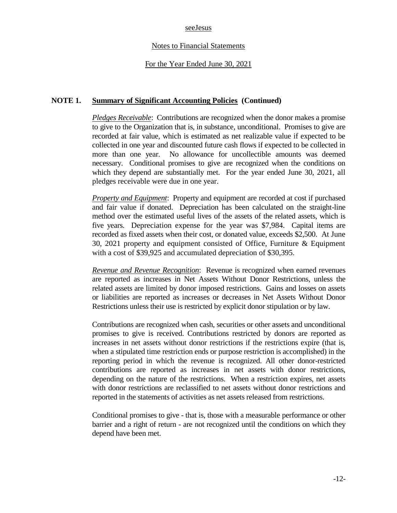#### Notes to Financial Statements

### For the Year Ended June 30, 2021

#### **NOTE 1. Summary of Significant Accounting Policies (Continued)**

*Pledges Receivable*:Contributions are recognized when the donor makes a promise to give to the Organization that is, in substance, unconditional. Promises to give are recorded at fair value, which is estimated as net realizable value if expected to be collected in one year and discounted future cash flows if expected to be collected in more than one year. No allowance for uncollectible amounts was deemed necessary. Conditional promises to give are recognized when the conditions on which they depend are substantially met. For the year ended June 30, 2021, all pledges receivable were due in one year.

*Property and Equipment*: Property and equipment are recorded at cost if purchased and fair value if donated. Depreciation has been calculated on the straight-line method over the estimated useful lives of the assets of the related assets, which is five years. Depreciation expense for the year was \$7,984. Capital items are recorded as fixed assets when their cost, or donated value, exceeds \$2,500. At June 30, 2021 property and equipment consisted of Office, Furniture & Equipment with a cost of \$39,925 and accumulated depreciation of \$30,395.

*Revenue and Revenue Recognition*: Revenue is recognized when earned revenues are reported as increases in Net Assets Without Donor Restrictions, unless the related assets are limited by donor imposed restrictions. Gains and losses on assets or liabilities are reported as increases or decreases in Net Assets Without Donor Restrictions unless their use is restricted by explicit donor stipulation or by law.

Contributions are recognized when cash, securities or other assets and unconditional promises to give is received. Contributions restricted by donors are reported as increases in net assets without donor restrictions if the restrictions expire (that is, when a stipulated time restriction ends or purpose restriction is accomplished) in the reporting period in which the revenue is recognized. All other donor-restricted contributions are reported as increases in net assets with donor restrictions, depending on the nature of the restrictions. When a restriction expires, net assets with donor restrictions are reclassified to net assets without donor restrictions and reported in the statements of activities as net assets released from restrictions.

Conditional promises to give - that is, those with a measurable performance or other barrier and a right of return - are not recognized until the conditions on which they depend have been met.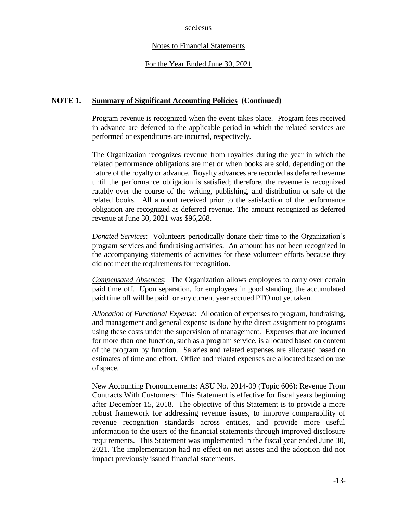#### Notes to Financial Statements

### For the Year Ended June 30, 2021

#### **NOTE 1. Summary of Significant Accounting Policies (Continued)**

Program revenue is recognized when the event takes place. Program fees received in advance are deferred to the applicable period in which the related services are performed or expenditures are incurred, respectively.

The Organization recognizes revenue from royalties during the year in which the related performance obligations are met or when books are sold, depending on the nature of the royalty or advance. Royalty advances are recorded as deferred revenue until the performance obligation is satisfied; therefore, the revenue is recognized ratably over the course of the writing, publishing, and distribution or sale of the related books. All amount received prior to the satisfaction of the performance obligation are recognized as deferred revenue. The amount recognized as deferred revenue at June 30, 2021 was \$96,268.

*Donated Services*: Volunteers periodically donate their time to the Organization's program services and fundraising activities. An amount has not been recognized in the accompanying statements of activities for these volunteer efforts because they did not meet the requirements for recognition.

*Compensated Absences*: The Organization allows employees to carry over certain paid time off. Upon separation, for employees in good standing, the accumulated paid time off will be paid for any current year accrued PTO not yet taken.

*Allocation of Functional Expense*: Allocation of expenses to program, fundraising, and management and general expense is done by the direct assignment to programs using these costs under the supervision of management. Expenses that are incurred for more than one function, such as a program service, is allocated based on content of the program by function. Salaries and related expenses are allocated based on estimates of time and effort. Office and related expenses are allocated based on use of space.

New Accounting Pronouncements: ASU No. 2014-09 (Topic 606): Revenue From Contracts With Customers: This Statement is effective for fiscal years beginning after December 15, 2018. The objective of this Statement is to provide a more robust framework for addressing revenue issues, to improve comparability of revenue recognition standards across entities, and provide more useful information to the users of the financial statements through improved disclosure requirements. This Statement was implemented in the fiscal year ended June 30, 2021. The implementation had no effect on net assets and the adoption did not impact previously issued financial statements.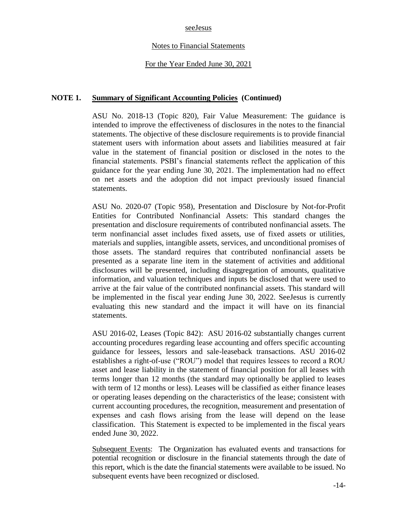#### Notes to Financial Statements

### For the Year Ended June 30, 2021

#### **NOTE 1. Summary of Significant Accounting Policies (Continued)**

ASU No. 2018-13 (Topic 820), Fair Value Measurement: The guidance is intended to improve the effectiveness of disclosures in the notes to the financial statements. The objective of these disclosure requirements is to provide financial statement users with information about assets and liabilities measured at fair value in the statement of financial position or disclosed in the notes to the financial statements. PSBI's financial statements reflect the application of this guidance for the year ending June 30, 2021. The implementation had no effect on net assets and the adoption did not impact previously issued financial statements.

ASU No. 2020-07 (Topic 958), Presentation and Disclosure by Not-for-Profit Entities for Contributed Nonfinancial Assets: This standard changes the presentation and disclosure requirements of contributed nonfinancial assets. The term nonfinancial asset includes fixed assets, use of fixed assets or utilities, materials and supplies, intangible assets, services, and unconditional promises of those assets. The standard requires that contributed nonfinancial assets be presented as a separate line item in the statement of activities and additional disclosures will be presented, including disaggregation of amounts, qualitative information, and valuation techniques and inputs be disclosed that were used to arrive at the fair value of the contributed nonfinancial assets. This standard will be implemented in the fiscal year ending June 30, 2022. SeeJesus is currently evaluating this new standard and the impact it will have on its financial statements.

ASU 2016-02, Leases (Topic 842): ASU 2016-02 substantially changes current accounting procedures regarding lease accounting and offers specific accounting guidance for lessees, lessors and sale-leaseback transactions. ASU 2016-02 establishes a right-of-use ("ROU") model that requires lessees to record a ROU asset and lease liability in the statement of financial position for all leases with terms longer than 12 months (the standard may optionally be applied to leases with term of 12 months or less). Leases will be classified as either finance leases or operating leases depending on the characteristics of the lease; consistent with current accounting procedures, the recognition, measurement and presentation of expenses and cash flows arising from the lease will depend on the lease classification. This Statement is expected to be implemented in the fiscal years ended June 30, 2022.

Subsequent Events: The Organization has evaluated events and transactions for potential recognition or disclosure in the financial statements through the date of this report, which is the date the financial statements were available to be issued. No subsequent events have been recognized or disclosed.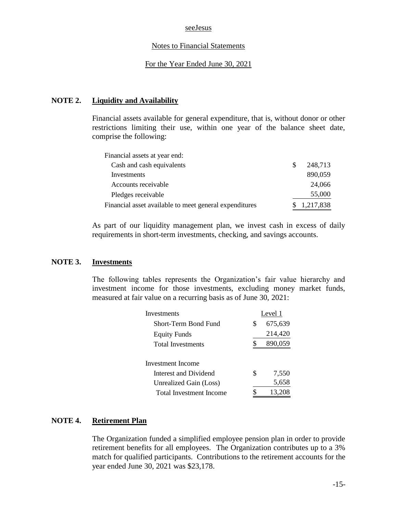#### Notes to Financial Statements

### For the Year Ended June 30, 2021

### **NOTE 2. Liquidity and Availability**

Financial assets available for general expenditure, that is, without donor or other restrictions limiting their use, within one year of the balance sheet date, comprise the following:

| Financial assets at year end:                          |     |           |
|--------------------------------------------------------|-----|-----------|
| Cash and cash equivalents                              | \$. | 248,713   |
| Investments                                            |     | 890,059   |
| Accounts receivable                                    |     | 24,066    |
| Pledges receivable                                     |     | 55,000    |
| Financial asset available to meet general expenditures |     | 1,217,838 |

As part of our liquidity management plan, we invest cash in excess of daily requirements in short-term investments, checking, and savings accounts.

### **NOTE 3. Investments**

The following tables represents the Organization's fair value hierarchy and investment income for those investments, excluding money market funds, measured at fair value on a recurring basis as of June 30, 2021:

| Investments              |    | Level 1 |
|--------------------------|----|---------|
| Short-Term Bond Fund     | \$ | 675,639 |
| <b>Equity Funds</b>      |    | 214,420 |
| <b>Total Investments</b> |    | 890,059 |
|                          |    |         |
| Investment Income        |    |         |
| Interest and Dividend    | S  | 7,550   |
| Unrealized Gain (Loss)   |    | 5,658   |
| Total Investment Income  |    | 13,208  |

### **NOTE 4. Retirement Plan**

The Organization funded a simplified employee pension plan in order to provide retirement benefits for all employees. The Organization contributes up to a 3% match for qualified participants. Contributions to the retirement accounts for the year ended June 30, 2021 was \$23,178.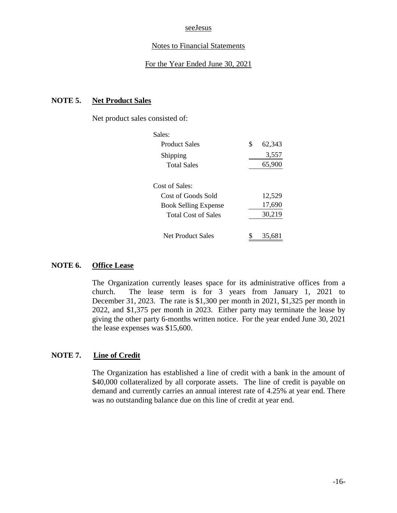#### Notes to Financial Statements

### For the Year Ended June 30, 2021

#### **NOTE 5. Net Product Sales**

Net product sales consisted of:

| Sales:                      |              |
|-----------------------------|--------------|
| <b>Product Sales</b>        | \$<br>62.343 |
| Shipping                    | 3,557        |
| <b>Total Sales</b>          | 65,900       |
|                             |              |
| Cost of Sales:              |              |
| Cost of Goods Sold          | 12,529       |
| <b>Book Selling Expense</b> | 17,690       |
| <b>Total Cost of Sales</b>  | 30,219       |
|                             |              |
| Net Product Sales           | 35.681       |

#### **NOTE 6. Office Lease**

The Organization currently leases space for its administrative offices from a church. The lease term is for 3 years from January 1, 2021 to December 31, 2023. The rate is \$1,300 per month in 2021, \$1,325 per month in 2022, and \$1,375 per month in 2023. Either party may terminate the lease by giving the other party 6-months written notice. For the year ended June 30, 2021 the lease expenses was \$15,600.

### **NOTE 7. Line of Credit**

The Organization has established a line of credit with a bank in the amount of \$40,000 collateralized by all corporate assets. The line of credit is payable on demand and currently carries an annual interest rate of 4.25% at year end. There was no outstanding balance due on this line of credit at year end.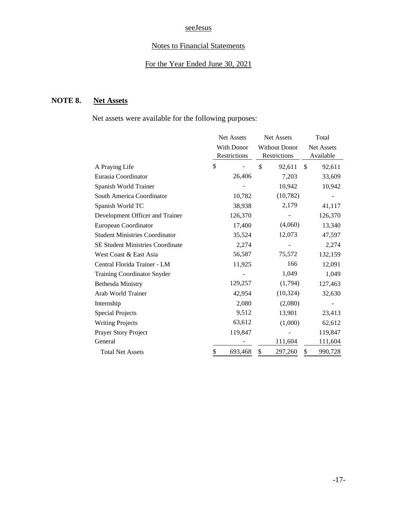# Notes to Financial Statements

# For the Year Ended June 30, 2021

# **NOTE 8. Net Assets**

Net assets were available for the following purposes:

|                                         | Net Assets |              |                      | Net Assets | Total      |         |  |
|-----------------------------------------|------------|--------------|----------------------|------------|------------|---------|--|
|                                         | With Donor |              | <b>Without Donor</b> |            | Net Assets |         |  |
|                                         |            | Restrictions | Restrictions         |            | Available  |         |  |
| A Praying Life                          | \$         |              | \$                   | 92,611     | \$         | 92,611  |  |
| Eurasia Coordinator                     |            | 26,406       |                      | 7,203      |            | 33,609  |  |
| Spanish World Trainer                   |            |              |                      | 10,942     |            | 10,942  |  |
| South America Coordinator               |            | 10,782       |                      | (10, 782)  |            |         |  |
| Spanish World TC                        |            | 38,938       |                      | 2,179      |            | 41,117  |  |
| Development Officer and Trainer         |            | 126,370      |                      |            |            | 126,370 |  |
| European Coordinator                    |            | 17,400       |                      | (4,060)    |            | 13,340  |  |
| <b>Student Ministries Coordinator</b>   |            | 35,524       |                      | 12,073     |            | 47,597  |  |
| <b>SE Student Ministries Coordinate</b> |            | 2,274        |                      |            |            | 2,274   |  |
| West Coast & East Asia                  |            | 56,587       |                      | 75,572     |            | 132,159 |  |
| Central Florida Trainer - LM            |            | 11,925       |                      | 166        |            | 12,091  |  |
| Training Coordinator Snyder             |            |              |                      | 1,049      |            | 1,049   |  |
| Bethesda Ministry                       |            | 129,257      |                      | (1,794)    |            | 127,463 |  |
| Arab World Trainer                      |            | 42,954       |                      | (10, 324)  |            | 32,630  |  |
| Internship                              |            | 2,080        |                      | (2,080)    |            |         |  |
| <b>Special Projects</b>                 |            | 9,512        |                      | 13,901     |            | 23,413  |  |
| <b>Writing Projects</b>                 |            | 63,612       |                      | (1,000)    |            | 62,612  |  |
| Prayer Story Project                    |            | 119,847      |                      |            |            | 119,847 |  |
| General                                 |            |              |                      | 111,604    |            | 111,604 |  |
| <b>Total Net Assets</b>                 | \$         | 693,468      | \$                   | 297,260    | \$         | 990,728 |  |